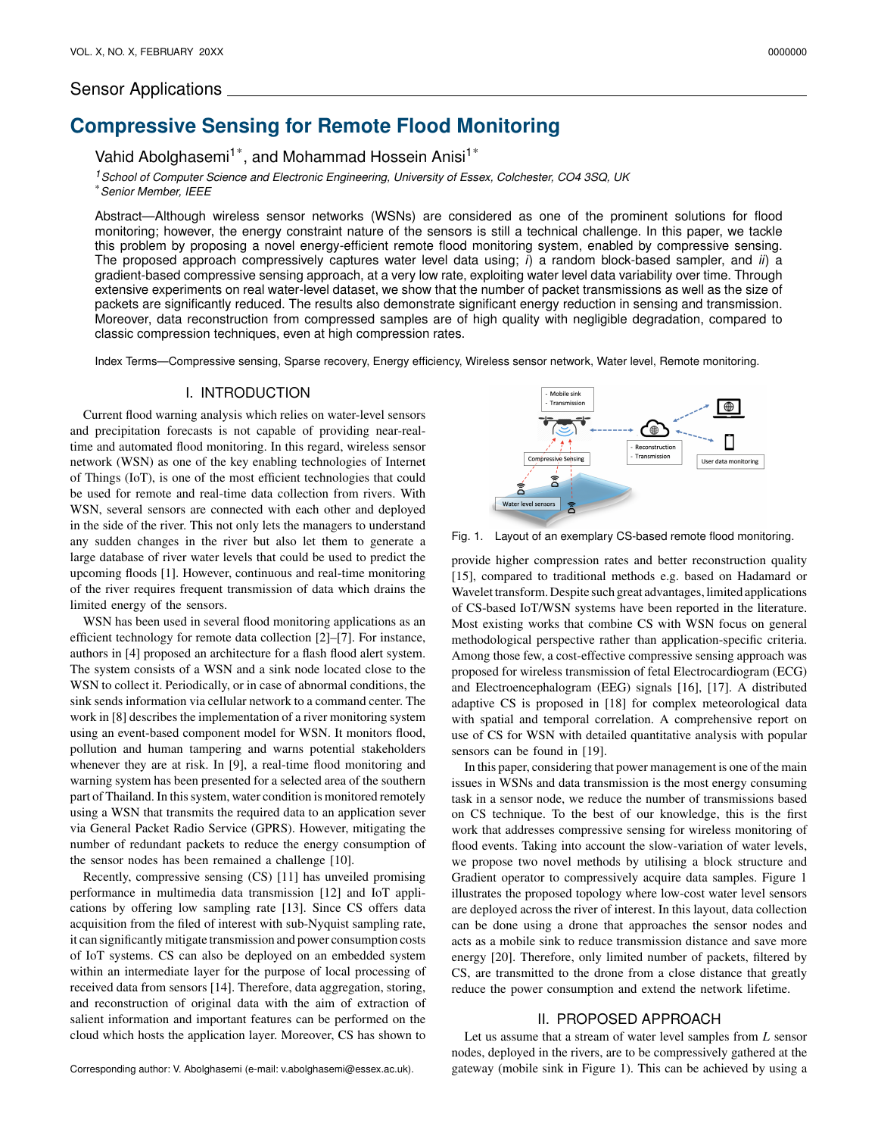# Sensor Applications

# **Compressive Sensing for Remote Flood Monitoring**

Vahid Abolghasemi<sup>1\*</sup>, and Mohammad Hossein Anisi<sup>1\*</sup>

*<sup>1</sup>School of Computer Science and Electronic Engineering, University of Essex, Colchester, CO4 3SQ, UK* \**Senior Member, IEEE*

Abstract—Although wireless sensor networks (WSNs) are considered as one of the prominent solutions for flood monitoring; however, the energy constraint nature of the sensors is still a technical challenge. In this paper, we tackle this problem by proposing a novel energy-efficient remote flood monitoring system, enabled by compressive sensing. The proposed approach compressively captures water level data using; *i*) a random block-based sampler, and *ii*) a gradient-based compressive sensing approach, at a very low rate, exploiting water level data variability over time. Through extensive experiments on real water-level dataset, we show that the number of packet transmissions as well as the size of packets are significantly reduced. The results also demonstrate significant energy reduction in sensing and transmission. Moreover, data reconstruction from compressed samples are of high quality with negligible degradation, compared to classic compression techniques, even at high compression rates.

Index Terms—Compressive sensing, Sparse recovery, Energy efficiency, Wireless sensor network, Water level, Remote monitoring.

### I. INTRODUCTION

Current flood warning analysis which relies on water-level sensors and precipitation forecasts is not capable of providing near-realtime and automated flood monitoring. In this regard, wireless sensor network (WSN) as one of the key enabling technologies of Internet of Things (IoT), is one of the most efficient technologies that could be used for remote and real-time data collection from rivers. With WSN, several sensors are connected with each other and deployed in the side of the river. This not only lets the managers to understand any sudden changes in the river but also let them to generate a large database of river water levels that could be used to predict the upcoming floods [1]. However, continuous and real-time monitoring of the river requires frequent transmission of data which drains the limited energy of the sensors.

WSN has been used in several flood monitoring applications as an efficient technology for remote data collection [2]–[7]. For instance, authors in [4] proposed an architecture for a flash flood alert system. The system consists of a WSN and a sink node located close to the WSN to collect it. Periodically, or in case of abnormal conditions, the sink sends information via cellular network to a command center. The work in [8] describes the implementation of a river monitoring system using an event-based component model for WSN. It monitors flood, pollution and human tampering and warns potential stakeholders whenever they are at risk. In [9], a real-time flood monitoring and warning system has been presented for a selected area of the southern part of Thailand. In this system, water condition is monitored remotely using a WSN that transmits the required data to an application sever via General Packet Radio Service (GPRS). However, mitigating the number of redundant packets to reduce the energy consumption of the sensor nodes has been remained a challenge [10].

Recently, compressive sensing (CS) [11] has unveiled promising performance in multimedia data transmission [12] and IoT applications by offering low sampling rate [13]. Since CS offers data acquisition from the filed of interest with sub-Nyquist sampling rate, it can significantly mitigate transmission and power consumption costs of IoT systems. CS can also be deployed on an embedded system within an intermediate layer for the purpose of local processing of received data from sensors [14]. Therefore, data aggregation, storing, and reconstruction of original data with the aim of extraction of salient information and important features can be performed on the cloud which hosts the application layer. Moreover, CS has shown to

Mobile sink Transmission ⊕ П Reconstruction Transmission Compressive Sensing User data monitoring ă Water level sensors

Fig. 1. Layout of an exemplary CS-based remote flood monitoring.

provide higher compression rates and better reconstruction quality [15], compared to traditional methods e.g. based on Hadamard or Wavelet transform. Despite such great advantages, limited applications of CS-based IoT/WSN systems have been reported in the literature. Most existing works that combine CS with WSN focus on general methodological perspective rather than application-specific criteria. Among those few, a cost-effective compressive sensing approach was proposed for wireless transmission of fetal Electrocardiogram (ECG) and Electroencephalogram (EEG) signals [16], [17]. A distributed adaptive CS is proposed in [18] for complex meteorological data with spatial and temporal correlation. A comprehensive report on use of CS for WSN with detailed quantitative analysis with popular sensors can be found in [19].

In this paper, considering that power management is one of the main issues in WSNs and data transmission is the most energy consuming task in a sensor node, we reduce the number of transmissions based on CS technique. To the best of our knowledge, this is the first work that addresses compressive sensing for wireless monitoring of flood events. Taking into account the slow-variation of water levels, we propose two novel methods by utilising a block structure and Gradient operator to compressively acquire data samples. Figure 1 illustrates the proposed topology where low-cost water level sensors are deployed across the river of interest. In this layout, data collection can be done using a drone that approaches the sensor nodes and acts as a mobile sink to reduce transmission distance and save more energy [20]. Therefore, only limited number of packets, filtered by CS, are transmitted to the drone from a close distance that greatly reduce the power consumption and extend the network lifetime.

#### II. PROPOSED APPROACH

Let us assume that a stream of water level samples from  $L$  sensor nodes, deployed in the rivers, are to be compressively gathered at the gateway (mobile sink in Figure 1). This can be achieved by using a

Corresponding author: V. Abolghasemi (e-mail: v.abolghasemi@essex.ac.uk).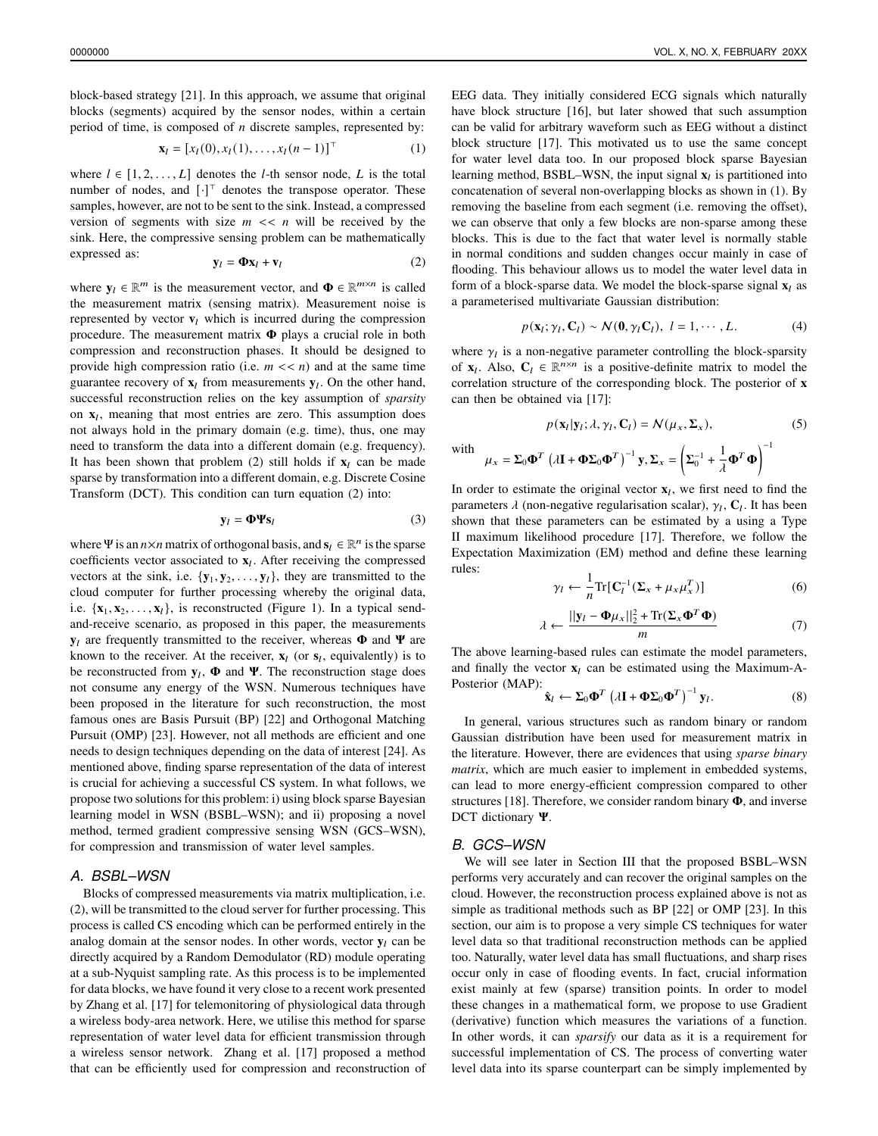block-based strategy [21]. In this approach, we assume that original blocks (segments) acquired by the sensor nodes, within a certain period of time, is composed of  $n$  discrete samples, represented by:

$$
\mathbf{x}_l = [x_l(0), x_l(1), \dots, x_l(n-1)]^\top
$$
 (1)

where  $l \in [1, 2, \ldots, L]$  denotes the *l*-th sensor node, *L* is the total number of nodes, and  $[\cdot]^{\top}$  denotes the transpose operator. These samples, however, are not to be sent to the sink. Instead, a compressed version of segments with size  $m \ll n$  will be received by the sink. Here, the compressive sensing problem can be mathematically expressed as:

$$
\mathbf{y}_l = \mathbf{\Phi} \mathbf{x}_l + \mathbf{v}_l \tag{2}
$$

where  $y_l \in \mathbb{R}^m$  is the measurement vector, and  $\Phi \in \mathbb{R}^{m \times n}$  is called the measurement matrix (sensing matrix). Measurement noise is represented by vector  $\mathbf{v}_l$  which is incurred during the compression procedure. The measurement matrix  $\Phi$  plays a crucial role in both compression and reconstruction phases. It should be designed to provide high compression ratio (i.e.  $m \ll n$ ) and at the same time guarantee recovery of  $\mathbf{x}_l$  from measurements  $\mathbf{y}_l$ . On the other hand, successful reconstruction relies on the key assumption of *sparsity* on  $x_l$ , meaning that most entries are zero. This assumption does not always hold in the primary domain (e.g. time), thus, one may need to transform the data into a different domain (e.g. frequency). It has been shown that problem  $(2)$  still holds if  $\mathbf{x}_l$  can be made sparse by transformation into a different domain, e.g. Discrete Cosine Transform (DCT). This condition can turn equation (2) into:

$$
\mathbf{y}_l = \mathbf{\Phi} \mathbf{\Psi} \mathbf{s}_l \tag{3}
$$

where  $\Psi$  is an  $n \times n$  matrix of orthogonal basis, and  $\mathbf{s}_l \in \mathbb{R}^n$  is the sparse coefficients vector associated to  $x_l$ . After receiving the compressed vectors at the sink, i.e.  $\{y_1, y_2, \ldots, y_l\}$ , they are transmitted to the cloud computer for further processing whereby the original data, i.e.  $\{x_1, x_2, \ldots, x_l\}$ , is reconstructed (Figure 1). In a typical sendand-receive scenario, as proposed in this paper, the measurements  $y_l$  are frequently transmitted to the receiver, whereas  $\Phi$  and  $\Psi$  are known to the receiver. At the receiver,  $\mathbf{x}_l$  (or  $\mathbf{s}_l$ , equivalently) is to be reconstructed from  $y_l$ ,  $\Phi$  and  $\Psi$ . The reconstruction stage does not consume any energy of the WSN. Numerous techniques have been proposed in the literature for such reconstruction, the most famous ones are Basis Pursuit (BP) [22] and Orthogonal Matching Pursuit (OMP) [23]. However, not all methods are efficient and one needs to design techniques depending on the data of interest [24]. As mentioned above, finding sparse representation of the data of interest is crucial for achieving a successful CS system. In what follows, we propose two solutions for this problem: i) using block sparse Bayesian learning model in WSN (BSBL–WSN); and ii) proposing a novel method, termed gradient compressive sensing WSN (GCS–WSN), for compression and transmission of water level samples.

# *A. BSBL–WSN*

Blocks of compressed measurements via matrix multiplication, i.e. (2), will be transmitted to the cloud server for further processing. This process is called CS encoding which can be performed entirely in the analog domain at the sensor nodes. In other words, vector  $y_l$  can be directly acquired by a Random Demodulator (RD) module operating at a sub-Nyquist sampling rate. As this process is to be implemented for data blocks, we have found it very close to a recent work presented by Zhang et al. [17] for telemonitoring of physiological data through a wireless body-area network. Here, we utilise this method for sparse representation of water level data for efficient transmission through a wireless sensor network. Zhang et al. [17] proposed a method that can be efficiently used for compression and reconstruction of EEG data. They initially considered ECG signals which naturally have block structure [16], but later showed that such assumption can be valid for arbitrary waveform such as EEG without a distinct block structure [17]. This motivated us to use the same concept for water level data too. In our proposed block sparse Bayesian learning method, BSBL–WSN, the input signal  $x_l$  is partitioned into concatenation of several non-overlapping blocks as shown in (1). By removing the baseline from each segment (i.e. removing the offset), we can observe that only a few blocks are non-sparse among these blocks. This is due to the fact that water level is normally stable in normal conditions and sudden changes occur mainly in case of flooding. This behaviour allows us to model the water level data in form of a block-sparse data. We model the block-sparse signal  $\mathbf{x}_l$  as a parameterised multivariate Gaussian distribution:

$$
p(\mathbf{x}_l; \gamma_l, \mathbf{C}_l) \sim \mathcal{N}(\mathbf{0}, \gamma_l \mathbf{C}_l), \ l = 1, \cdots, L.
$$
 (4)

where  $\gamma_l$  is a non-negative parameter controlling the block-sparsity of  $\mathbf{x}_l$ . Also,  $\mathbf{C}_l \in \mathbb{R}^{n \times n}$  is a positive-definite matrix to model the correlation structure of the corresponding block. The posterior of **x** can then be obtained via [17]:

$$
p(\mathbf{x}_l|\mathbf{y}_l;\lambda,\gamma_l,\mathbf{C}_l) = \mathcal{N}(\mu_x,\Sigma_x),
$$
\nwith

\n
$$
\mu_x = \Sigma_0 \mathbf{\Phi}^T \left(\lambda \mathbf{I} + \mathbf{\Phi} \Sigma_0 \mathbf{\Phi}^T\right)^{-1} \mathbf{y}, \Sigma_x = \left(\Sigma_0^{-1} + \frac{1}{\lambda} \mathbf{\Phi}^T \mathbf{\Phi}\right)^{-1}
$$

In order to estimate the original vector  $\mathbf{x}_l$ , we first need to find the parameters  $\lambda$  (non-negative regularisation scalar),  $\gamma_l$ ,  $C_l$ . It has been shown that these parameters can be estimated by a using a Type II maximum likelihood procedure [17]. Therefore, we follow the Expectation Maximization (EM) method and define these learning rules:

$$
\gamma_l \leftarrow \frac{1}{n} \text{Tr}[\mathbf{C}_l^{-1} (\mathbf{\Sigma}_x + \mu_x \mu_x^T)] \tag{6}
$$

$$
\lambda \leftarrow \frac{||\mathbf{y}_l - \mathbf{\Phi}\mu_x||_2^2 + \text{Tr}(\Sigma_x \mathbf{\Phi}^T \mathbf{\Phi})}{m}
$$
(7)

The above learning-based rules can estimate the model parameters, and finally the vector  $x_l$  can be estimated using the Maximum-A-Posterior (MAP):

$$
\hat{\mathbf{x}}_l \leftarrow \Sigma_0 \mathbf{\Phi}^T \left( \lambda \mathbf{I} + \mathbf{\Phi} \Sigma_0 \mathbf{\Phi}^T \right)^{-1} \mathbf{y}_l. \tag{8}
$$

In general, various structures such as random binary or random Gaussian distribution have been used for measurement matrix in the literature. However, there are evidences that using *sparse binary matrix*, which are much easier to implement in embedded systems, can lead to more energy-efficient compression compared to other structures [18]. Therefore, we consider random binary  $\Phi$ , and inverse DCT dictionary  $\Psi$ .

# *B. GCS–WSN*

We will see later in Section III that the proposed BSBL–WSN performs very accurately and can recover the original samples on the cloud. However, the reconstruction process explained above is not as simple as traditional methods such as BP [22] or OMP [23]. In this section, our aim is to propose a very simple CS techniques for water level data so that traditional reconstruction methods can be applied too. Naturally, water level data has small fluctuations, and sharp rises occur only in case of flooding events. In fact, crucial information exist mainly at few (sparse) transition points. In order to model these changes in a mathematical form, we propose to use Gradient (derivative) function which measures the variations of a function. In other words, it can *sparsify* our data as it is a requirement for successful implementation of CS. The process of converting water level data into its sparse counterpart can be simply implemented by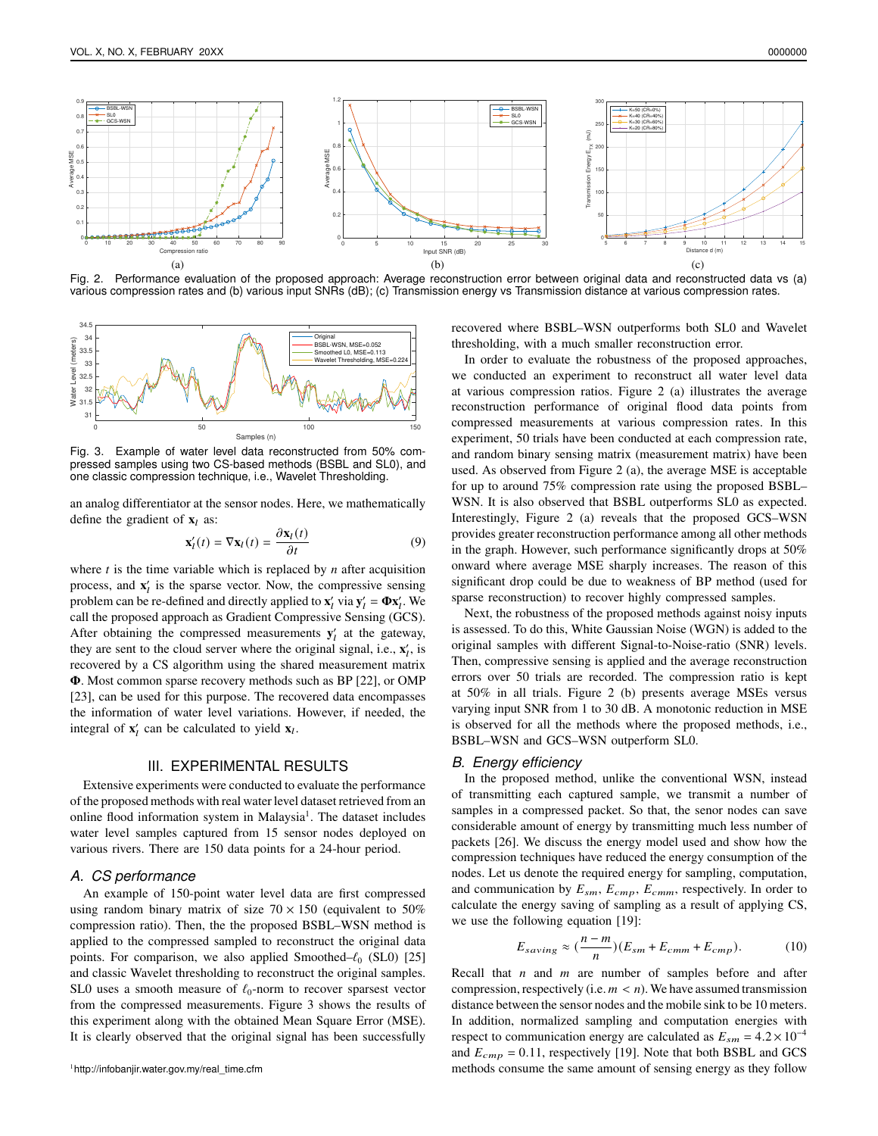

Fig. 2. Performance evaluation of the proposed approach: Average reconstruction error between original data and reconstructed data vs (a) various compression rates and (b) various input SNRs (dB); (c) Transmission energy vs Transmission distance at various compression rates.



Fig. 3. Example of water level data reconstructed from 50% compressed samples using two CS-based methods (BSBL and SL0), and one classic compression technique, i.e., Wavelet Thresholding.

an analog differentiator at the sensor nodes. Here, we mathematically define the gradient of  $x_l$  as:

$$
\mathbf{x}'_l(t) = \nabla \mathbf{x}_l(t) = \frac{\partial \mathbf{x}_l(t)}{\partial t}
$$
 (9)

where  $t$  is the time variable which is replaced by  $n$  after acquisition process, and  $\mathbf{x}'_l$  is the sparse vector. Now, the compressive sensing problem can be re-defined and directly applied to  $\mathbf{x}'_l$  via  $\mathbf{y}'_l = \mathbf{\Phi} \mathbf{x}'_l$ . We call the proposed approach as Gradient Compressive Sensing (GCS). After obtaining the compressed measurements  $y_l$  at the gateway, they are sent to the cloud server where the original signal, i.e.,  $\mathbf{x}'_i$ , is recovered by a CS algorithm using the shared measurement matrix  $\Phi$ . Most common sparse recovery methods such as BP [22], or OMP [23], can be used for this purpose. The recovered data encompasses the information of water level variations. However, if needed, the integral of  $\mathbf{x}'_l$  can be calculated to yield  $\mathbf{x}_l$ .

#### III. EXPERIMENTAL RESULTS

Extensive experiments were conducted to evaluate the performance of the proposed methods with real water level dataset retrieved from an online flood information system in Malaysia<sup>1</sup>. The dataset includes water level samples captured from 15 sensor nodes deployed on various rivers. There are 150 data points for a 24-hour period.

#### *A. CS performance*

An example of 150-point water level data are first compressed using random binary matrix of size  $70 \times 150$  (equivalent to  $50\%$ compression ratio). Then, the the proposed BSBL–WSN method is applied to the compressed sampled to reconstruct the original data points. For comparison, we also applied Smoothed– $\ell_0$  (SL0) [25] and classic Wavelet thresholding to reconstruct the original samples. SL0 uses a smooth measure of  $\ell_0$ -norm to recover sparsest vector from the compressed measurements. Figure 3 shows the results of this experiment along with the obtained Mean Square Error (MSE). It is clearly observed that the original signal has been successfully recovered where BSBL–WSN outperforms both SL0 and Wavelet thresholding, with a much smaller reconstruction error.

In order to evaluate the robustness of the proposed approaches, we conducted an experiment to reconstruct all water level data at various compression ratios. Figure 2 (a) illustrates the average reconstruction performance of original flood data points from compressed measurements at various compression rates. In this experiment, 50 trials have been conducted at each compression rate, and random binary sensing matrix (measurement matrix) have been used. As observed from Figure 2 (a), the average MSE is acceptable for up to around 75% compression rate using the proposed BSBL– WSN. It is also observed that BSBL outperforms SL0 as expected. Interestingly, Figure 2 (a) reveals that the proposed GCS–WSN provides greater reconstruction performance among all other methods in the graph. However, such performance significantly drops at 50% onward where average MSE sharply increases. The reason of this significant drop could be due to weakness of BP method (used for sparse reconstruction) to recover highly compressed samples.

Next, the robustness of the proposed methods against noisy inputs is assessed. To do this, White Gaussian Noise (WGN) is added to the original samples with different Signal-to-Noise-ratio (SNR) levels. Then, compressive sensing is applied and the average reconstruction errors over 50 trials are recorded. The compression ratio is kept at 50% in all trials. Figure 2 (b) presents average MSEs versus varying input SNR from 1 to 30 dB. A monotonic reduction in MSE is observed for all the methods where the proposed methods, i.e., BSBL–WSN and GCS–WSN outperform SL0.

#### *B. Energy efficiency*

In the proposed method, unlike the conventional WSN, instead of transmitting each captured sample, we transmit a number of samples in a compressed packet. So that, the senor nodes can save considerable amount of energy by transmitting much less number of packets [26]. We discuss the energy model used and show how the compression techniques have reduced the energy consumption of the nodes. Let us denote the required energy for sampling, computation, and communication by  $E_{sm}$ ,  $E_{cmp}$ ,  $E_{cmm}$ , respectively. In order to calculate the energy saving of sampling as a result of applying CS, we use the following equation [19]:

$$
E_{saving} \approx (\frac{n-m}{n})(E_{sm} + E_{cmm} + E_{cmp}). \tag{10}
$$

Recall that  $n$  and  $m$  are number of samples before and after compression, respectively (i.e.  $m < n$ ). We have assumed transmission distance between the sensor nodes and the mobile sink to be 10 meters. In addition, normalized sampling and computation energies with respect to communication energy are calculated as  $E_{sm} = 4.2 \times 10^{-4}$ and  $E_{cmp} = 0.11$ , respectively [19]. Note that both BSBL and GCS methods consume the same amount of sensing energy as they follow